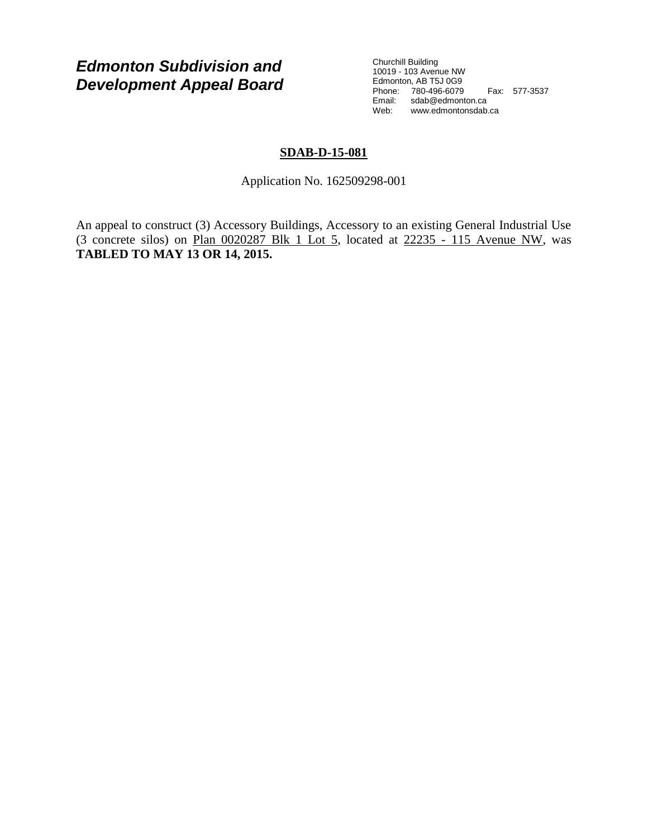# *Edmonton Subdivision and Development Appeal Board*

Churchill Building 10019 - 103 Avenue NW Edmonton, AB T5J 0G9 Phone: 780-496-6079 Fax: 577-3537 Email: sdab@edmonton.ca Web: www.edmontonsdab.ca

## **SDAB-D-15-081**

Application No. 162509298-001

An appeal to construct (3) Accessory Buildings, Accessory to an existing General Industrial Use (3 concrete silos) on Plan 0020287 Blk 1 Lot 5, located at 22235 - 115 Avenue NW, was **TABLED TO MAY 13 OR 14, 2015.**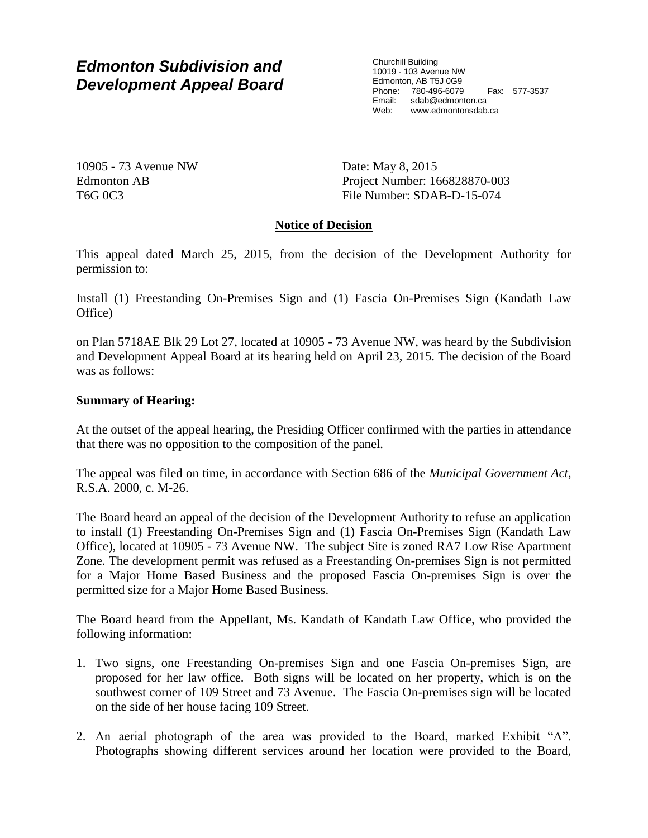# *Edmonton Subdivision and Development Appeal Board*

Churchill Building 10019 - 103 Avenue NW Edmonton, AB T5J 0G9 Phone: 780-496-6079 Fax: 577-3537 Email: sdab@edmonton.ca Web: www.edmontonsdab.ca

10905 - 73 Avenue NW Edmonton AB T6G 0C3

Date: May 8, 2015 Project Number: 166828870-003 File Number: SDAB-D-15-074

## **Notice of Decision**

This appeal dated March 25, 2015, from the decision of the Development Authority for permission to:

Install (1) Freestanding On-Premises Sign and (1) Fascia On-Premises Sign (Kandath Law Office)

on Plan 5718AE Blk 29 Lot 27, located at 10905 - 73 Avenue NW, was heard by the Subdivision and Development Appeal Board at its hearing held on April 23, 2015. The decision of the Board was as follows:

## **Summary of Hearing:**

At the outset of the appeal hearing, the Presiding Officer confirmed with the parties in attendance that there was no opposition to the composition of the panel.

The appeal was filed on time, in accordance with Section 686 of the *Municipal Government Act*, R.S.A. 2000, c. M-26.

The Board heard an appeal of the decision of the Development Authority to refuse an application to install (1) Freestanding On-Premises Sign and (1) Fascia On-Premises Sign (Kandath Law Office), located at 10905 - 73 Avenue NW. The subject Site is zoned RA7 Low Rise Apartment Zone. The development permit was refused as a Freestanding On-premises Sign is not permitted for a Major Home Based Business and the proposed Fascia On-premises Sign is over the permitted size for a Major Home Based Business.

The Board heard from the Appellant, Ms. Kandath of Kandath Law Office, who provided the following information:

- 1. Two signs, one Freestanding On-premises Sign and one Fascia On-premises Sign, are proposed for her law office. Both signs will be located on her property, which is on the southwest corner of 109 Street and 73 Avenue. The Fascia On-premises sign will be located on the side of her house facing 109 Street.
- 2. An aerial photograph of the area was provided to the Board, marked Exhibit "A". Photographs showing different services around her location were provided to the Board,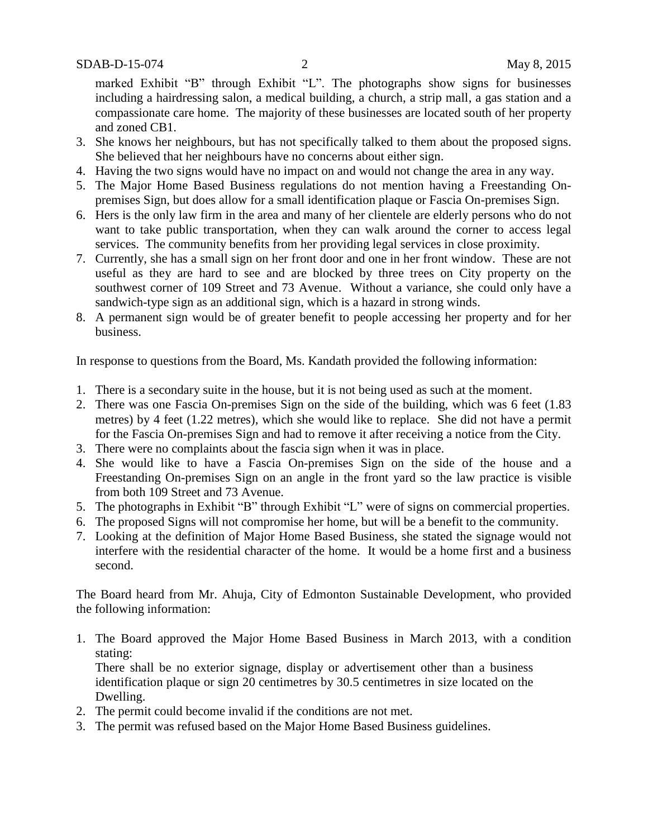marked Exhibit "B" through Exhibit "L". The photographs show signs for businesses including a hairdressing salon, a medical building, a church, a strip mall, a gas station and a compassionate care home. The majority of these businesses are located south of her property and zoned CB1.

- 3. She knows her neighbours, but has not specifically talked to them about the proposed signs. She believed that her neighbours have no concerns about either sign.
- 4. Having the two signs would have no impact on and would not change the area in any way.
- 5. The Major Home Based Business regulations do not mention having a Freestanding Onpremises Sign, but does allow for a small identification plaque or Fascia On-premises Sign.
- 6. Hers is the only law firm in the area and many of her clientele are elderly persons who do not want to take public transportation, when they can walk around the corner to access legal services. The community benefits from her providing legal services in close proximity.
- 7. Currently, she has a small sign on her front door and one in her front window. These are not useful as they are hard to see and are blocked by three trees on City property on the southwest corner of 109 Street and 73 Avenue. Without a variance, she could only have a sandwich-type sign as an additional sign, which is a hazard in strong winds.
- 8. A permanent sign would be of greater benefit to people accessing her property and for her business.

In response to questions from the Board, Ms. Kandath provided the following information:

- 1. There is a secondary suite in the house, but it is not being used as such at the moment.
- 2. There was one Fascia On-premises Sign on the side of the building, which was 6 feet (1.83 metres) by 4 feet (1.22 metres), which she would like to replace. She did not have a permit for the Fascia On-premises Sign and had to remove it after receiving a notice from the City.
- 3. There were no complaints about the fascia sign when it was in place.
- 4. She would like to have a Fascia On-premises Sign on the side of the house and a Freestanding On-premises Sign on an angle in the front yard so the law practice is visible from both 109 Street and 73 Avenue.
- 5. The photographs in Exhibit "B" through Exhibit "L" were of signs on commercial properties.
- 6. The proposed Signs will not compromise her home, but will be a benefit to the community.
- 7. Looking at the definition of Major Home Based Business, she stated the signage would not interfere with the residential character of the home. It would be a home first and a business second.

The Board heard from Mr. Ahuja, City of Edmonton Sustainable Development, who provided the following information:

1. The Board approved the Major Home Based Business in March 2013, with a condition stating:

There shall be no exterior signage, display or advertisement other than a business identification plaque or sign 20 centimetres by 30.5 centimetres in size located on the Dwelling.

- 2. The permit could become invalid if the conditions are not met.
- 3. The permit was refused based on the Major Home Based Business guidelines.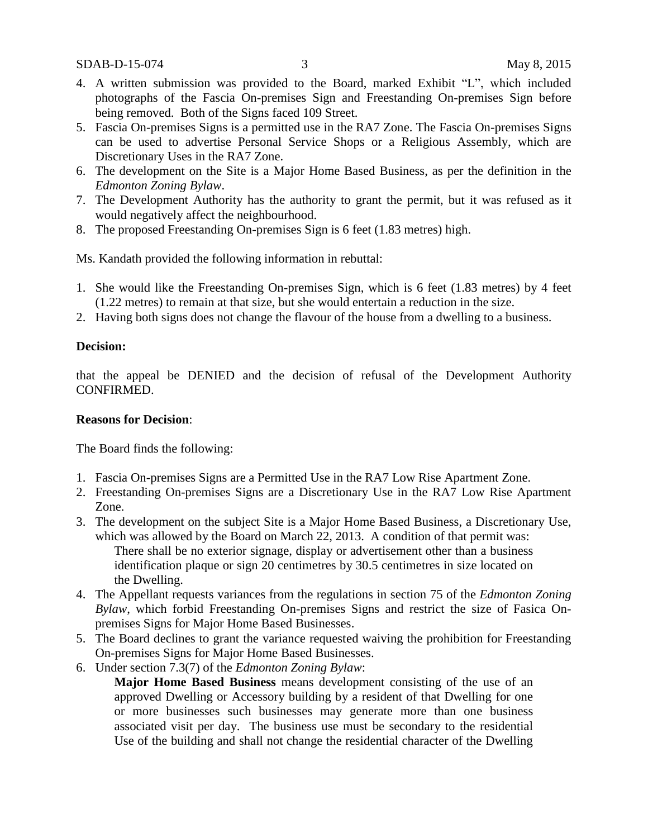- 4. A written submission was provided to the Board, marked Exhibit "L", which included photographs of the Fascia On-premises Sign and Freestanding On-premises Sign before being removed. Both of the Signs faced 109 Street.
- 5. Fascia On-premises Signs is a permitted use in the RA7 Zone. The Fascia On-premises Signs can be used to advertise Personal Service Shops or a Religious Assembly, which are Discretionary Uses in the RA7 Zone.
- 6. The development on the Site is a Major Home Based Business, as per the definition in the *Edmonton Zoning Bylaw*.
- 7. The Development Authority has the authority to grant the permit, but it was refused as it would negatively affect the neighbourhood.
- 8. The proposed Freestanding On-premises Sign is 6 feet (1.83 metres) high.

Ms. Kandath provided the following information in rebuttal:

- 1. She would like the Freestanding On-premises Sign, which is 6 feet (1.83 metres) by 4 feet (1.22 metres) to remain at that size, but she would entertain a reduction in the size.
- 2. Having both signs does not change the flavour of the house from a dwelling to a business.

### **Decision:**

that the appeal be DENIED and the decision of refusal of the Development Authority CONFIRMED.

#### **Reasons for Decision**:

The Board finds the following:

- 1. Fascia On-premises Signs are a Permitted Use in the RA7 Low Rise Apartment Zone.
- 2. Freestanding On-premises Signs are a Discretionary Use in the RA7 Low Rise Apartment Zone.
- 3. The development on the subject Site is a Major Home Based Business, a Discretionary Use, which was allowed by the Board on March 22, 2013. A condition of that permit was: There shall be no exterior signage, display or advertisement other than a business identification plaque or sign 20 centimetres by 30.5 centimetres in size located on the Dwelling.
- 4. The Appellant requests variances from the regulations in section 75 of the *Edmonton Zoning Bylaw*, which forbid Freestanding On-premises Signs and restrict the size of Fasica Onpremises Signs for Major Home Based Businesses.
- 5. The Board declines to grant the variance requested waiving the prohibition for Freestanding On-premises Signs for Major Home Based Businesses.
- 6. Under section 7.3(7) of the *Edmonton Zoning Bylaw*:

**Major Home Based Business** means development consisting of the use of an approved Dwelling or Accessory building by a resident of that Dwelling for one or more businesses such businesses may generate more than one business associated visit per day. The business use must be secondary to the residential Use of the building and shall not change the residential character of the Dwelling